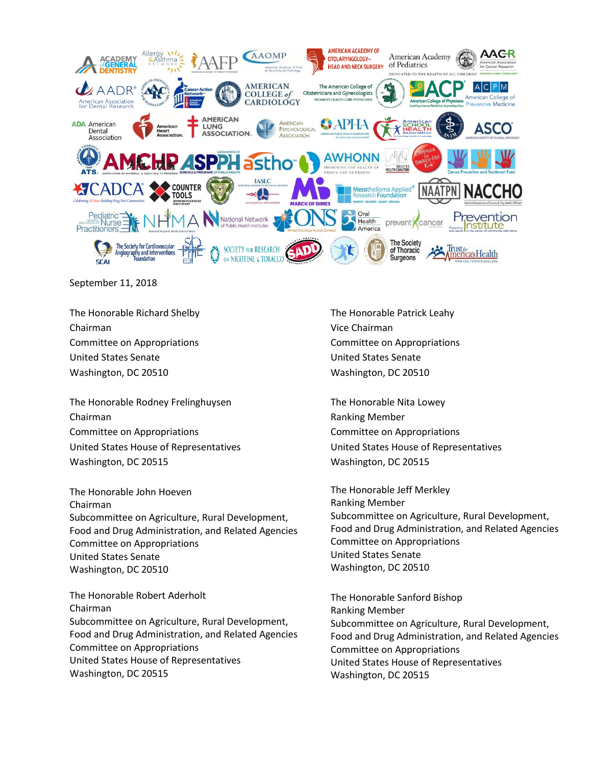

September 11, 2018

The Honorable Richard Shelby Chairman Committee on Appropriations United States Senate Washington, DC 20510

The Honorable Rodney Frelinghuysen Chairman Committee on Appropriations United States House of Representatives Washington, DC 20515

The Honorable John Hoeven Chairman Subcommittee on Agriculture, Rural Development, Food and Drug Administration, and Related Agencies Committee on Appropriations United States Senate Washington, DC 20510

The Honorable Robert Aderholt Chairman Subcommittee on Agriculture, Rural Development, Food and Drug Administration, and Related Agencies Committee on Appropriations United States House of Representatives Washington, DC 20515

The Honorable Patrick Leahy Vice Chairman Committee on Appropriations United States Senate Washington, DC 20510

The Honorable Nita Lowey Ranking Member Committee on Appropriations United States House of Representatives Washington, DC 20515

The Honorable Jeff Merkley Ranking Member Subcommittee on Agriculture, Rural Development, Food and Drug Administration, and Related Agencies Committee on Appropriations United States Senate Washington, DC 20510

The Honorable Sanford Bishop Ranking Member Subcommittee on Agriculture, Rural Development, Food and Drug Administration, and Related Agencies Committee on Appropriations United States House of Representatives Washington, DC 20515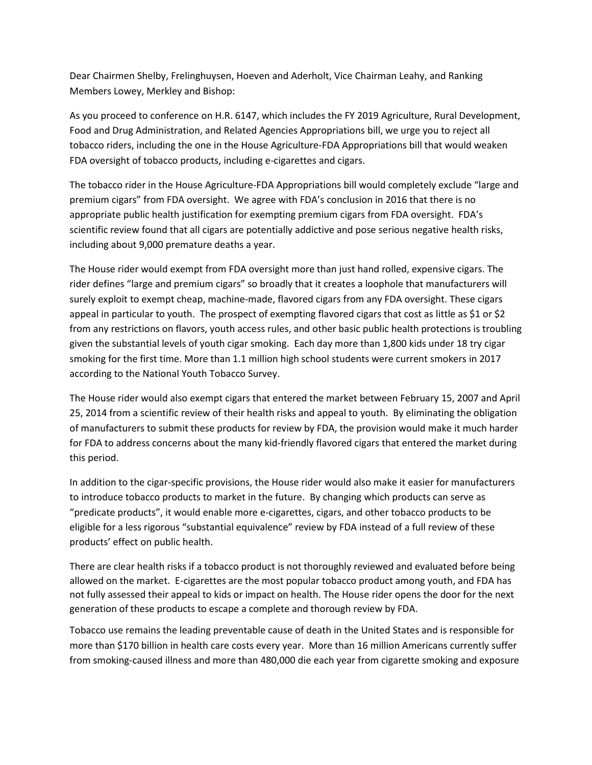Dear Chairmen Shelby, Frelinghuysen, Hoeven and Aderholt, Vice Chairman Leahy, and Ranking Members Lowey, Merkley and Bishop:

As you proceed to conference on H.R. 6147, which includes the FY 2019 Agriculture, Rural Development, Food and Drug Administration, and Related Agencies Appropriations bill, we urge you to reject all tobacco riders, including the one in the House Agriculture-FDA Appropriations bill that would weaken FDA oversight of tobacco products, including e-cigarettes and cigars.

The tobacco rider in the House Agriculture-FDA Appropriations bill would completely exclude "large and premium cigars" from FDA oversight. We agree with FDA's conclusion in 2016 that there is no appropriate public health justification for exempting premium cigars from FDA oversight. FDA's scientific review found that all cigars are potentially addictive and pose serious negative health risks, including about 9,000 premature deaths a year.

The House rider would exempt from FDA oversight more than just hand rolled, expensive cigars. The rider defines "large and premium cigars" so broadly that it creates a loophole that manufacturers will surely exploit to exempt cheap, machine-made, flavored cigars from any FDA oversight. These cigars appeal in particular to youth. The prospect of exempting flavored cigars that cost as little as \$1 or \$2 from any restrictions on flavors, youth access rules, and other basic public health protections is troubling given the substantial levels of youth cigar smoking. Each day more than 1,800 kids under 18 try cigar smoking for the first time. More than 1.1 million high school students were current smokers in 2017 according to the National Youth Tobacco Survey.

The House rider would also exempt cigars that entered the market between February 15, 2007 and April 25, 2014 from a scientific review of their health risks and appeal to youth. By eliminating the obligation of manufacturers to submit these products for review by FDA, the provision would make it much harder for FDA to address concerns about the many kid-friendly flavored cigars that entered the market during this period.

In addition to the cigar-specific provisions, the House rider would also make it easier for manufacturers to introduce tobacco products to market in the future. By changing which products can serve as "predicate products", it would enable more e-cigarettes, cigars, and other tobacco products to be eligible for a less rigorous "substantial equivalence" review by FDA instead of a full review of these products' effect on public health.

There are clear health risks if a tobacco product is not thoroughly reviewed and evaluated before being allowed on the market. E-cigarettes are the most popular tobacco product among youth, and FDA has not fully assessed their appeal to kids or impact on health. The House rider opens the door for the next generation of these products to escape a complete and thorough review by FDA.

Tobacco use remains the leading preventable cause of death in the United States and is responsible for more than \$170 billion in health care costs every year. More than 16 million Americans currently suffer from smoking-caused illness and more than 480,000 die each year from cigarette smoking and exposure